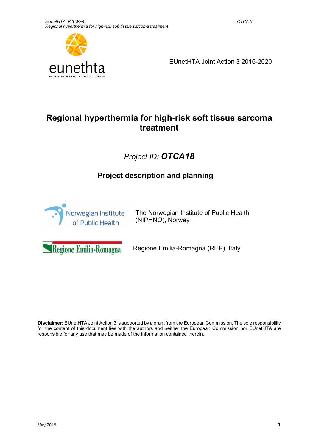

EUnetHTA Joint Action 3 2016-2020

# Regional hyperthermia for high-risk soft tissue sarcoma treatment

# Project ID: OTCA18

# Project description and planning



The Norwegian Institute of Public Health (NIPHNO), Norway

Regione Emilia-Romagna

Regione Emilia-Romagna (RER), Italy

Disclaimer: EUnetHTA Joint Action 3 is supported by a grant from the European Commission. The sole responsibility for the content of this document lies with the authors and neither the European Commission nor EUnetHTA are responsible for any use that may be made of the information contained therein.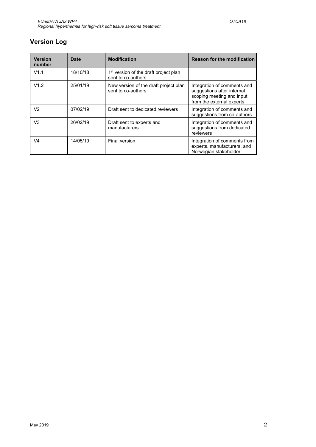# Version Log

| <b>Version</b><br>number | Date     | <b>Modification</b>                                                     | <b>Reason for the modification</b>                                                                                  |
|--------------------------|----------|-------------------------------------------------------------------------|---------------------------------------------------------------------------------------------------------------------|
| V1.1                     | 18/10/18 | 1 <sup>st</sup> version of the draft project plan<br>sent to co-authors |                                                                                                                     |
| V1.2                     | 25/01/19 | New version of the draft project plan<br>sent to co-authors             | Integration of comments and<br>suggestions after internal<br>scoping meeting and input<br>from the external experts |
| V2                       | 07/02/19 | Draft sent to dedicated reviewers                                       | Integration of comments and<br>suggestions from co-authors                                                          |
| V3                       | 26/02/19 | Draft sent to experts and<br>manufacturers                              | Integration of comments and<br>suggestions from dedicated<br>reviewers                                              |
| V <sub>4</sub>           | 14/05/19 | Final version                                                           | Integration of comments from<br>experts, manufacturers, and<br>Norwegian stakeholder                                |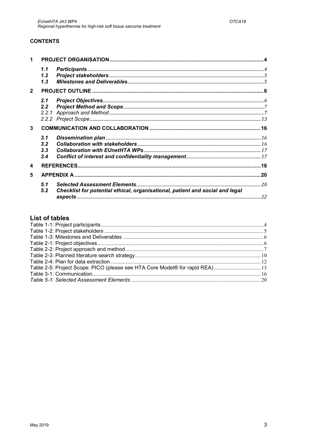### **CONTENTS**

|                | 1.1<br>1.2<br>1.3        |                                                                               |  |
|----------------|--------------------------|-------------------------------------------------------------------------------|--|
| $\overline{2}$ |                          |                                                                               |  |
|                | 2.1<br>2.2 <sub>2</sub>  |                                                                               |  |
|                |                          |                                                                               |  |
| 3              |                          |                                                                               |  |
|                | 3.1<br>3.2<br>3.3<br>3.4 |                                                                               |  |
| 4              |                          |                                                                               |  |
| 5              |                          |                                                                               |  |
|                | 5.1<br>5.2               | Checklist for potential ethical, organisational, patient and social and legal |  |

## **List of tables**

| Table 2-5: Project Scope: PICO (please see HTA Core Model® for rapid REA) 13 |  |
|------------------------------------------------------------------------------|--|
|                                                                              |  |
|                                                                              |  |
|                                                                              |  |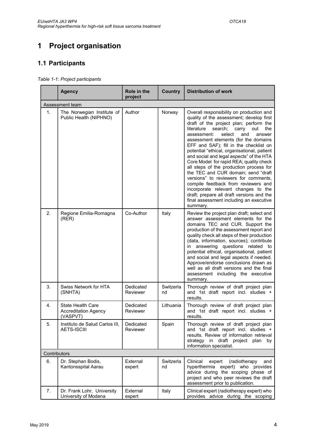# 1 Project organisation

# 1.1 Participants

|              | <b>Agency</b>                                                       | Role in the<br>project | Country         | <b>Distribution of work</b>                                                                                                                                                                                                                                                                                                                                                                                                                                                                                                                                                                                                                                                                                                                            |  |  |
|--------------|---------------------------------------------------------------------|------------------------|-----------------|--------------------------------------------------------------------------------------------------------------------------------------------------------------------------------------------------------------------------------------------------------------------------------------------------------------------------------------------------------------------------------------------------------------------------------------------------------------------------------------------------------------------------------------------------------------------------------------------------------------------------------------------------------------------------------------------------------------------------------------------------------|--|--|
|              | Assessment team                                                     |                        |                 |                                                                                                                                                                                                                                                                                                                                                                                                                                                                                                                                                                                                                                                                                                                                                        |  |  |
| 1.           | The Norwegian Institute of<br>Public Health (NIPHNO)                | Author                 | Norway          | Overall responsibility on production and<br>quality of the assessment; develop first<br>draft of the project plan; perform the<br>literature search; carry<br>the<br>out<br>select<br>and<br>assessment:<br>answer<br>assessment elements (for the domains<br>EFF and SAF); fill in the checklist on<br>potential "ethical, organisational, patient<br>and social and legal aspects" of the HTA<br>Core Model for rapid REA; quality check<br>all steps of the production process for<br>the TEC and CUR domain; send "draft<br>versions" to reviewers for comments,<br>compile feedback from reviewers and<br>incorporate relevant changes to the<br>draft; prepare all draft versions and the<br>final assessment including an executive<br>summary. |  |  |
| 2.           | Regione Emilia-Romagna<br>(REF)                                     | Co-Author              | Italy           | Review the project plan draft; select and<br>answer assessment elements for the<br>domains TEC and CUR. Support the<br>production of the assessment report and<br>quality check all steps of their production<br>(data, information, sources); contribute<br>in answering questions related to<br>potential ethical, organisational, patient<br>and social and legal aspects if needed.<br>Approve/endorse conclusions drawn as<br>well as all draft versions and the final<br>assessment including the executive<br>summary.                                                                                                                                                                                                                          |  |  |
| 3.           | Swiss Network for HTA<br>(SNHTA)                                    | Dedicated<br>Reviewer  | Switzerla<br>nd | Thorough review of draft project plan<br>and 1st draft report incl. studies +<br>results.                                                                                                                                                                                                                                                                                                                                                                                                                                                                                                                                                                                                                                                              |  |  |
| 4.           | <b>State Health Care</b><br><b>Accreditation Agency</b><br>(VASPVT) | Dedicated<br>Reviewer  | Lithuania       | Thorough review of draft project plan<br>and 1st draft report incl. studies +<br>results.                                                                                                                                                                                                                                                                                                                                                                                                                                                                                                                                                                                                                                                              |  |  |
| 5.           | Instituto de Salud Carlos III,<br><b>AETS-ISCIII</b>                | Dedicated<br>Reviewer  | Spain           | Thorough review of draft project plan<br>and 1st draft report incl. studies +<br>results. Review of information retrieval<br>strategy in draft project plan<br>by<br>information specialist.                                                                                                                                                                                                                                                                                                                                                                                                                                                                                                                                                           |  |  |
| Contributors |                                                                     |                        |                 |                                                                                                                                                                                                                                                                                                                                                                                                                                                                                                                                                                                                                                                                                                                                                        |  |  |
| 6.           | Dr. Stephan Bodis,<br>Kantonsspital Aarau                           | External<br>expert     | Switzerla<br>nd | Clinical<br>(radiotherapy<br>expert<br>and<br>hyperthermia expert) who provides<br>advice during the scoping phase of<br>project and who peer reviews the draft<br>assessment prior to publication.                                                                                                                                                                                                                                                                                                                                                                                                                                                                                                                                                    |  |  |
| 7.           | Dr. Frank Lohr, University<br>University of Modena                  | External<br>expert     | Italy           | Clinical expert (radiotherapy expert) who<br>provides advice during the scoping                                                                                                                                                                                                                                                                                                                                                                                                                                                                                                                                                                                                                                                                        |  |  |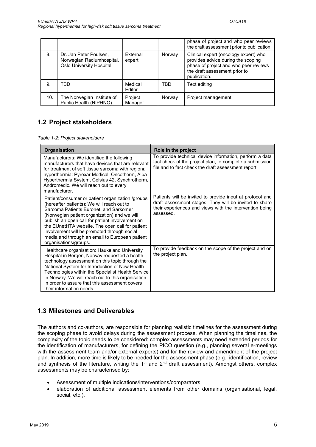|     |                                                                                        |                           |        | phase of project and who peer reviews<br>the draft assessment prior to publication.                                                                                   |
|-----|----------------------------------------------------------------------------------------|---------------------------|--------|-----------------------------------------------------------------------------------------------------------------------------------------------------------------------|
| 8.  | Dr. Jan Peter Poulsen,<br>Norwegian Radiumhospital,<br><b>Oslo University Hospital</b> | <b>External</b><br>expert | Norway | Clinical expert (oncology expert) who<br>provides advice during the scoping<br>phase of project and who peer reviews<br>the draft assessment prior to<br>publication. |
| 9.  | TBD                                                                                    | Medical<br>Editor         | TBD    | Text editing                                                                                                                                                          |
| 10. | The Norwegian Institute of<br>Public Health (NIPHNO)                                   | Project<br>Manager        | Norway | Project management                                                                                                                                                    |

# 1.2 Project stakeholders

Table 1-2: Project stakeholders

| Organisation                                                                                                                                                                                                                                                                                                                                                                                                            | Role in the project                                                                                                                                                                         |
|-------------------------------------------------------------------------------------------------------------------------------------------------------------------------------------------------------------------------------------------------------------------------------------------------------------------------------------------------------------------------------------------------------------------------|---------------------------------------------------------------------------------------------------------------------------------------------------------------------------------------------|
| Manufacturers: We identified the following<br>manufacturers that have devices that are relevant<br>for treatment of soft tissue sarcoma with regional<br>hyperthermia: Pyrexar Medical, Oncotherm, Alba<br>Hyperthermia System, Celsius 42, Synchrotherm,<br>Andromedic. We will reach out to every<br>manufacturer.                                                                                                    | To provide technical device information, perform a data<br>fact check of the project plan, to complete a submission<br>file and to fact check the draft assessment report.                  |
| Patient/consumer or patient organization /groups<br>(hereafter patients): We will reach out to<br>Sarcoma Patients Euronet and Sarkomer<br>(Norwegian patient organization) and we will<br>publish an open call for patient involvement on<br>the EUnetHTA website. The open call for patient<br>involvement will be promoted through social<br>media and through an email to European patient<br>organisations/groups. | Patients will be invited to provide input at protocol and<br>draft assessment stages. They will be invited to share<br>their experiences and views with the intervention being<br>assessed. |
| Healthcare organisation: Haukeland University<br>Hospital in Bergen, Norway requested a health<br>technology assessment on this topic through the<br>National System for Introduction of New Health<br>Technologies within the Specialist Health Service<br>in Norway. We will reach out to this organisation<br>in order to assure that this assessment covers<br>their information needs.                             | To provide feedback on the scope of the project and on<br>the project plan.                                                                                                                 |

## 1.3 Milestones and Deliverables

The authors and co-authors, are responsible for planning realistic timelines for the assessment during the scoping phase to avoid delays during the assessment process. When planning the timelines, the complexity of the topic needs to be considered: complex assessments may need extended periods for the identification of manufacturers, for defining the PICO question (e.g., planning several e-meetings with the assessment team and/or external experts) and for the review and amendment of the project plan. In addition, more time is likely to be needed for the assessment phase (e.g., identification, review and synthesis of the literature, writing the 1<sup>st</sup> and 2<sup>nd</sup> draft assessment). Amongst others, complex assessments may be characterised by:

- Assessment of multiple indications/interventions/comparators,
- elaboration of additional assessment elements from other domains (organisational, legal, social, etc.),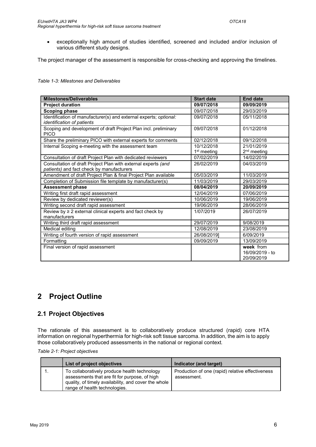exceptionally high amount of studies identified, screened and included and/or inclusion of various different study designs.

The project manager of the assessment is responsible for cross-checking and approving the timelines.

Table 1-3: Milestones and Deliverables

| <b>Milestones/Deliverables</b>                                                                             | <b>Start date</b>                     | <b>End date</b>                            |
|------------------------------------------------------------------------------------------------------------|---------------------------------------|--------------------------------------------|
| <b>Project duration</b>                                                                                    | 09/07/2018                            | 09/09/2019                                 |
| <b>Scoping phase</b>                                                                                       | 09/07/2018                            | 29/03/2019                                 |
| Identification of manufacturer(s) and external experts; optional:<br>identification of patients            | 09/07/2018                            | 05/11/2018                                 |
| Scoping and development of draft Project Plan incl. preliminary<br><b>PICO</b>                             | 09/07/2018                            | 01/12/2018                                 |
| Share the preliminary PICO with external experts for comments                                              | 02/12/2018                            | 09/12/2018                                 |
| Internal Scoping e-meeting with the assessment team                                                        | 10/12/2018<br>1 <sup>st</sup> meeting | 21/01/2019<br>$2nd$ meeting                |
| Consultation of draft Project Plan with dedicated reviewers                                                | 07/02/2019                            | 14/02/2019                                 |
| Consultation of draft Project Plan with external experts (and<br>patients) and fact check by manufacturers | 26/02/2019                            | 04/03/2019                                 |
| Amendment of draft Project Plan & final Project Plan available                                             | 05/03/2019                            | 11/03/2019                                 |
| Completion of Submission file template by manufacturer(s)                                                  | 11/03/2019                            | 29/03/2019                                 |
| <b>Assessment phase</b>                                                                                    | 08/04/2019                            | 20/09/2019                                 |
| Writing first draft rapid assessment                                                                       | 12/04/2019                            | 07/06/2019                                 |
| Review by dedicated reviewer(s)                                                                            | 10/06/2019                            | 19/06/2019                                 |
| Writing second draft rapid assessment                                                                      | 19/06/2019                            | 28/06/2019                                 |
| Review by $\geq 2$ external clinical experts and fact check by<br>manufacturers                            | 1/07/2019                             | 26/07/2019                                 |
| Writing third draft rapid assessment                                                                       | 29/07/2019                            | 9/08/2019                                  |
| Medical editing                                                                                            | 12/08/2019                            | 23/08/2019                                 |
| Writing of fourth version of rapid assessment                                                              | 26/08/20191                           | 6/09/2019                                  |
| Formatting                                                                                                 | 09/09/2019                            | 13/09/2019                                 |
| Final version of rapid assessment                                                                          |                                       | week from<br>16/09/2019 - to<br>20/09/2019 |

# 2 Project Outline

### 2.1 Project Objectives

The rationale of this assessment is to collaboratively produce structured (rapid) core HTA information on regional hyperthermia for high-risk soft tissue sarcoma. In addition, the aim is to apply those collaboratively produced assessments in the national or regional context.

| List of project objectives                                                                                                                                                             | Indicator (and target)                                          |
|----------------------------------------------------------------------------------------------------------------------------------------------------------------------------------------|-----------------------------------------------------------------|
| To collaboratively produce health technology<br>assessments that are fit for purpose, of high<br>quality, of timely availability, and cover the whole<br>range of health technologies. | Production of one (rapid) relative effectiveness<br>assessment. |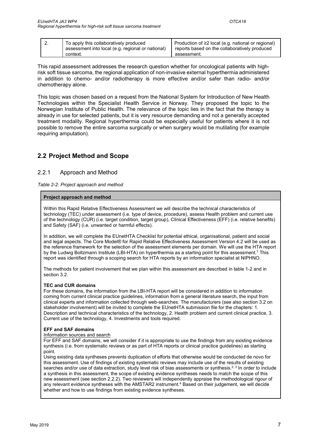| Ζ. | To apply this collaboratively produced<br>assessment into local (e.g. regional or national) | Production of ≥2 local (e.g. national or regional)<br>reports based on the collaboratively produced |
|----|---------------------------------------------------------------------------------------------|-----------------------------------------------------------------------------------------------------|
|    | context.                                                                                    | assessment.                                                                                         |

This rapid assessment addresses the research question whether for oncological patients with highrisk soft tissue sarcoma, the regional application of non-invasive external hyperthermia administered in addition to chemo- and/or radiotherapy is more effective and/or safer than radio- and/or chemotherapy alone.

This topic was chosen based on a request from the National System for Introduction of New Health Technologies within the Specialist Health Service in Norway. They proposed the topic to the Norwegian Institute of Public Health. The relevance of the topic lies in the fact that the therapy is already in use for selected patients, but it is very resource demanding and not a generally accepted treatment modality. Regional hyperthermia could be especially useful for patients where it is not possible to remove the entire sarcoma surgically or when surgery would be mutilating (for example requiring amputation).

# 2.2 Project Method and Scope

### 2.2.1 Approach and Method

Table 2-2: Project approach and method

#### Project approach and method

Within this Rapid Relative Effectiveness Assessment we will describe the technical characteristics of technology (TEC) under assessment (i.e. type of device, procedure), assess Health problem and current use of the technology (CUR) (i.e. target condition, target group), Clinical Effectiveness (EFF) (i.e. relative benefits) and Safety (SAF) (i.e. unwanted or harmful effects).

In addition, we will complete the EUnetHTA Checklist for potential ethical, organisational, patient and social and legal aspects. The Core Model® for Rapid Relative Effectiveness Assessment Version 4.2 will be used as the reference framework for the selection of the assessment elements per domain. We will use the HTA report by the Ludwig Boltzmann Institute (LBI-HTA) on hyperthermia as a starting point for this assessment.<sup>1</sup> This report was identified through a scoping search for HTA reports by an information specialist at NIPHNO.

The methods for patient involvement that we plan within this assessment are described in table 1-2 and in section 3.2.

#### TEC and CUR domains

For these domains, the information from the LBI-HTA report will be considered in addition to information coming from current clinical practice guidelines, information from a general literature search, the input from clinical experts and information collected through web-searches. The manufacturers (see also section 3.2 on stakeholder involvement) will be invited to complete the EUnetHTA submission file for the chapters: 1. Description and technical characteristics of the technology, 2. Health problem and current clinical practice, 3. Current use of the technology, 4. Investments and tools required.

#### EFF and SAF domains

#### Information sources and search

For EFF and SAF domains, we will consider if it is appropriate to use the findings from any existing evidence synthesis (i.e. from systematic reviews or as part of HTA reports or clinical practice guidelines) as starting point.

Using existing data syntheses prevents duplication of efforts that otherwise would be conducted de novo for this assessment. Use of findings of existing systematic reviews may include use of the results of existing searches and/or use of data extraction, study level risk of bias assessments or synthesis.<sup>2, 3</sup> In order to include a synthesis in this assessment, the scope of existing evidence syntheses needs to match the scope of this new assessment (see section 2.2.2). Two reviewers will independently appraise the methodological rigour of any relevant evidence syntheses with the AMSTAR2 instrument.<sup>4</sup> Based on their judgement, we will decide whether and how to use findings from existing evidence syntheses.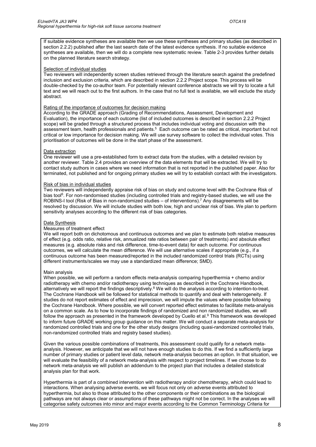If suitable evidence syntheses are available then we use these syntheses and primary studies (as described in section 2.2.2) published after the last search date of the latest evidence synthesis. If no suitable evidence syntheses are available, then we will do a complete new systematic review. Table 2-3 provides further details on the planned literature search strategy.

#### Selection of individual studies

Two reviewers will independently screen studies retrieved through the literature search against the predefined inclusion and exclusion criteria, which are described in section 2.2.2 Project scope. This process will be double-checked by the co-author team. For potentially relevant conference abstracts we will try to locate a full text and we will reach out to the first authors. In the case that no full text is available, we will exclude the study abstract.

#### Rating of the importance of outcomes for decision making

According to the GRADE approach (Grading of Recommendations, Assessment, Development and Evaluation), the importance of each outcome (list of included outcomes is described in section 2.2.2 Project scope) will be graded through a structured process that includes individual voting and discussion with the assessment team, health professionals and patients.<sup>5</sup> Each outcome can be rated as critical, important but not critical or low importance for decision making. We will use survey software to collect the individual votes. This prioritisation of outcomes will be done in the start phase of the assessment.

#### Data extraction

One reviewer will use a pre-established form to extract data from the studies, with a detailed revision by another reviewer. Table 2.4 provides an overview of the data elements that will be extracted. We will try to contact study authors in cases where we need information that is not reported in the published paper. Also for terminated, not published and for ongoing primary studies we will try to establish contact with the investigators.

#### Risk of bias in individual studies

Two reviewers will independently appraise risk of bias on study and outcome level with the Cochrane Risk of bias tool<sup>6</sup>. For non-randomised studies (including controlled trials and registry-based studies, we will use the ROBINS-I tool (Risk of Bias in non-randomized studies – of interventions).<sup>7</sup> Any disagreements will be resolved by discussion. We will include studies with both low, high and unclear risk of bias. We plan to perform sensitivity analyses according to the different risk of bias categories.

#### Data Synthesis

#### Measures of treatment effect

We will report both on dichotomous and continuous outcomes and we plan to estimate both relative measures of effect (e.g. odds ratio, relative risk, annualized rate ratios between pair of treatments) and absolute effect measures (e.g. absolute risks and risk difference, time-to-event data) for each outcome. For continuous outcomes, we will calculate the mean difference. We will use alternative scales if appropriate (e.g., if a continuous outcome has been measured/reported in the included randomized control trials (RCTs) using different instruments/scales we may use a standardized mean difference; SMD).

#### Main analysis

When possible, we will perform a random effects meta-analysis comparing hyperthermia + chemo and/or radiotherapy with chemo and/or radiotherapy using techniques as described in the Cochrane Handbook, alternatively we will report the findings descriptively.<sup>8</sup> We will do the analysis according to intention-to-treat. The Cochrane Handbook will be followed for statistical methods to quantify and deal with heterogeneity. If studies do not report estimates of effect and imprecision, we will impute the values where possible following the Cochrane Handbook. Where possible, we will convert reported effect estimates to facilitate meta-analysis on a common scale. As to how to incorporate findings of randomized and non randomized studies, we will follow the approach as presented in the framework developed by Cuello et al. $^9$  This framework was developed to inform future GRADE working group guidance on this matter. We will conduct a separate meta-analysis for randomized controlled trials and one for the other study designs (including quasi-randomized controlled trials, non-randomized controlled trials and registry based studies).

Given the various possible combinations of treatments, this assessment could qualify for a network metaanalysis. However, we anticipate that we will not have enough studies to do this. If we find a sufficiently large number of primary studies or patient level data, network meta-analysis becomes an option. In that situation, we will evaluate the feasibility of a network meta-analysis with respect to project timelines. If we choose to do network meta-analysis we will publish an addendum to the project plan that includes a detailed statistical analysis plan for that work.

Hyperthermia is part of a combined intervention with radiotherapy and/or chemotherapy, which could lead to interactions. When analysing adverse events, we will focus not only on adverse events attributed to hyperthermia, but also to those attributed to the other components or their combinations as the biological pathways are not always clear or assumptions of these pathways might not be correct. In the analyses we will categorise safety outcomes into minor and major events according to the Common Terminology Criteria for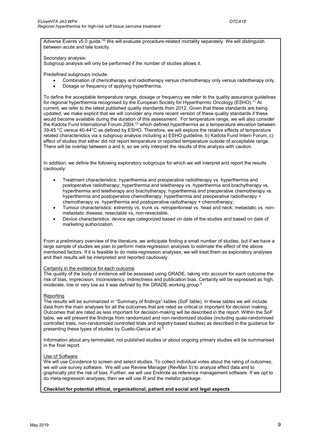Adverse Events v5.0 guide.<sup>10</sup> We will evaluate procedure-related mortality separately. We will distinguish between acute and late toxicity.

Secondary analysis:

Subgroup analysis will only be performed if the number of studies allows it.

Predefined subgroups include:

- Combination of chemotherapy and radiotherapy versus chemotherapy only versus radiotherapy only.
- Dosage or frequency of applying hyperthermia.

To define the acceptable temperature range, dosage or frequency we refer to the quality assurance guidelines for regional hyperthermia recognised by the European Society for Hyperthermic Oncology (ESHO).<sup>11</sup> At current, we refer to the latest published quality standards from 2012. Given that these standards are being updated, we make explicit that we will consider any more recent version of these quality standards if these would become available during the duration of this assessment. For temperature range, we will also consider the Kadota Fund International Forum 2004,<sup>12</sup> which defined hyperthermia as a temperature elevation between 39-45 °C versus 40-44°C as defined by ESHO. Therefore, we will explore the relative effects of temperature related characteristics via a subgroup analysis including a) ESHO guideline, b) Kadota Fund Intern Forum, c) effect of studies that either did not report temperature or reported temperature outside of acceptable range. There will be overlap between a and b, so we only interpret the results of this analysis with caution.

In addition, we define the following exploratory subgroups for which we will interpret and report the results cautiously:

- Treatment characteristics: hyperthermia and preoperative radiotherapy vs. hyperthermia and postoperative radiotherapy; hyperthermia and teletherapy vs. hyperthermia and brachytherapy vs. hyperthermia and teletherapy and brachytherapy; hyperthermia and preoperative chemotherapy vs. hyperthermia and postoperative chemotherapy; hyperthermia and preoperative radiotherapy + chemotherapy vs. hyperthermia and postoperative radiotherapy + chemotherapy;
- Tumour characteristics: extremity vs. trunk vs. retroperitoneal vs. head and neck; metastatic vs. nonmetastatic disease; resectable vs, non-resectable.
- Device characteristics: device age categorized based on date of the studies and based on date of marketing authorization.

From a preliminary overview of the literature, we anticipate finding a small number of studies, but if we have a large sample of studies we plan to perform meta-regression analyses to estimate the effect of the above mentioned factors. If it is feasible to do meta-regression analyses, we will treat them as exploratory analyses and their results will be interpreted and reported cautiously.

#### Certainty in the evidence for each outcome

The quality of the body of evidence will be assessed using GRADE, taking into account for each outcome the risk of bias, imprecision, inconsistency, indirectness and publication bias. Certainty will be expressed as high, moderate, low or very low as it was defined by the GRADE working group.<sup>5</sup>

#### **Reporting**

The results will be summarized in "Summary of findings"-tables (SoF table). In these tables we will include data from the main analyses for all the outcomes that are rated as critical or important for decision making. Outcomes that are rated as less important for decision-making will be described in the report. Within the SoF table, we will present the findings from randomized and non-randomized studies (including quasi-randomised controlled trials, non-randomized controlled trials and registry-based studies) as described in the guidance for presenting these types of studies by Cuello-Garcia et al.<sup>9</sup>

Information about any terminated, not published studies or about ongoing primary studies will be summarised in the final report.

#### Use of Software

We will use Covidence to screen and select studies. To collect individual votes about the rating of outcomes, we will use survey software. We will use Review Manager (RevMan 5) to analyze effect data and to graphically plot the risk of bias. Further, we will use Endnote as reference management software. If we opt to do meta-regression analyses, then we will use R and the metafor package.

#### Checklist for potential ethical, organisational, patient and social and legal aspects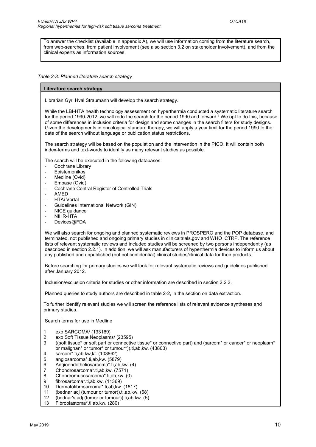To answer the checklist (available in appendix A), we will use information coming from the literature search, from web-searches, from patient involvement (see also section 3.2 on stakeholder involvement), and from the clinical experts as information sources.

Table 2-3: Planned literature search strategy

#### Literature search strategy

Librarian Gyri Hval Straumann will develop the search strategy.

While the LBI-HTA health technology assessment on hyperthermia conducted a systematic literature search for the period 1990-2012, we will redo the search for the period 1990 and forward.<sup>1</sup> We opt to do this, because of some differences in inclusion criteria for design and some changes in the search filters for study designs. Given the developments in oncological standard therapy, we will apply a year limit for the period 1990 to the date of the search without language or publication status restrictions.

The search strategy will be based on the population and the intervention in the PICO. It will contain both index-terms and text-words to identify as many relevant studies as possible.

The search will be executed in the following databases:

- Cochrane Library
- **Epistemonikos**
- Medline (Ovid)
- Embase (Ovid)
- Cochrane Central Register of Controlled Trials
- AMED
- **HTAi Vortal**
- Guidelines International Network (GIN)
- NICE guidance
- NIHR-HTA
- Devices@FDA

We will also search for ongoing and planned systematic reviews in PROSPERO and the POP database, and terminated, not published and ongoing primary studies in clinicaltrials.gov and WHO ICTRP. The reference lists of relevant systematic reviews and included studies will be screened by two persons independently (as described in section 2.2.1). In addition, we will ask manufacturers of hyperthermia devices to inform us about any published and unpublished (but not confidential) clinical studies/clinical data for their products.

Before searching for primary studies we will look for relevant systematic reviews and guidelines published after January 2012.

Inclusion/exclusion criteria for studies or other information are described in section 2.2.2.

Planned queries to study authors are described in table 2-2, in the section on data extraction.

To further identify relevant studies we will screen the reference lists of relevant evidence syntheses and primary studies.

Search terms for use in Medline

- exp SARCOMA/ (133169)
- 2 exp Soft Tissue Neoplasms/ (23595)
- 3 ((soft tissue\* or soft part or connective tissue\* or connective part) and (sarcom\* or cancer\* or neoplasm\* or malignan\* or tumor\* or tumour\*)).ti,ab,kw. (43803)<br>4 sarcom\* ti ab kw kf (103862)
- sarcom\*.ti,ab,kw,kf. (103862)
- 5 angiosarcoma\*.ti,ab,kw. (5879)
- 6 Angioendotheliosarcoma\*.ti,ab,kw. (4)
- 7 Chondrosarcoma\*.ti,ab,kw. (7571)<br>8 Chondromucosarcoma\*.ti.ab.kw. (
- 8 Chondromucosarcoma\*.ti,ab,kw. (0)
- 9 fibrosarcoma\*.ti,ab,kw. (11369)<br>10 Dermatofibrosarcoma\*.ti,ab,kw.
- 10 Dermatofibrosarcoma\*.ti,ab,kw. (1817)
- 11 (bednar adj (tumour or tumor)).ti,ab,kw. (68)
- 12 (bednar's adj (tumor or tumour)).ti,ab,kw. (5)
- 13 Fibroblastoma\*.ti,ab,kw. (280)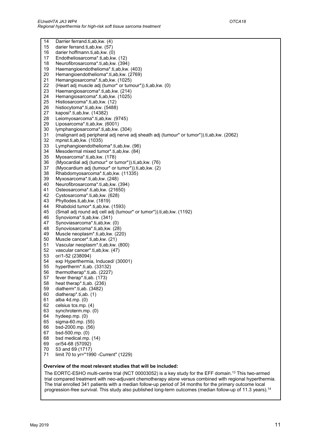| 14 | Darrier ferrand.ti,ab, kw. (4)                                                            |
|----|-------------------------------------------------------------------------------------------|
| 15 | darier ferrand.ti,ab, kw. (57)                                                            |
| 16 | darier hoffmann.ti, ab, kw. (0)                                                           |
| 17 | Endotheliosarcoma*.ti,ab,kw. (12)                                                         |
| 18 | Neurofibrosarcoma*.ti,ab,kw. (394)                                                        |
| 19 | Haemangioendothelioma*.ti,ab,kw. (403)                                                    |
| 20 | Hemangioendothelioma*.ti,ab,kw. (2769)                                                    |
| 21 |                                                                                           |
|    | Hemangiosarcoma*.ti,ab,kw. (1025)                                                         |
| 22 | (Heart adj muscle adj (tumor* or tumour*)).ti,ab, kw. (0)                                 |
| 23 | Haemangiosarcoma*.ti,ab, kw. (214)                                                        |
| 24 | Hemangiosarcoma*.ti,ab,kw. (1025)                                                         |
| 25 | Histiosarcoma*.ti,ab,kw. (12)                                                             |
| 26 | histiocytoma*.ti,ab,kw. (5488)                                                            |
| 27 | kaposi*.ti,ab,kw. (14382)                                                                 |
| 28 | Leiomyosarcoma*.ti,ab,kw. (9745)                                                          |
| 29 | Liposarcoma*.ti,ab,kw. (6001)                                                             |
| 30 | lymphangiosarcoma*.ti,ab,kw. (304)                                                        |
| 31 | (malignant adj peripheral adj nerve adj sheath adj (tumour* or tumor*)).ti,ab, kw. (2062) |
| 32 | mpnst.ti,ab,kw. (1035)                                                                    |
| 33 | Lymphangioendothelioma*.ti,ab,kw. (96)                                                    |
| 34 | Mesodermal mixed tumor*.ti,ab,kw. (84)                                                    |
| 35 | Myosarcoma*.ti,ab,kw. (178)                                                               |
| 36 | (Myocardial adj (tumour* or tumor*)).ti,ab, kw. (76)                                      |
| 37 | (Myocardium adj (tumour* or tumor*)).ti,ab,kw. (2)                                        |
| 38 | Rhabdomyosarcoma*.ti,ab,kw. (11335)                                                       |
| 39 | Myxosarcoma*.ti,ab,kw. (248)                                                              |
| 40 | Neurofibrosarcoma*.ti,ab,kw. (394)                                                        |
| 41 | Osteosarcoma*.ti,ab,kw. (21650)                                                           |
| 42 |                                                                                           |
|    | Cystosarcoma*.ti,ab,kw. (628)                                                             |
| 43 | Phyllodes.ti,ab,kw. (1819)                                                                |
| 44 | Rhabdoid tumor*.ti,ab, kw. (1593)                                                         |
| 45 | (Small adj round adj cell adj (tumour* or tumor*)).ti, ab, kw. (1192)                     |
| 46 | Synovioma*.ti,ab,kw. (341)                                                                |
| 47 | Synoviasarcoma*.ti,ab,kw. (0)                                                             |
| 48 | Synoviosarcoma*.ti,ab,kw. (28)                                                            |
| 49 | Muscle neoplasm*.ti,ab,kw. (220)                                                          |
| 50 | Muscle cancer*.ti,ab,kw. (21)                                                             |
| 51 | Vascular neoplasm*.ti,ab, kw. (800)                                                       |
| 52 | vascular cancer*.ti,ab,kw. (47)                                                           |
| 53 | or/1-52 (238094)                                                                          |
| 54 | exp Hyperthermia, Induced/ (30001)                                                        |
| 55 | hypertherm <sup>*</sup> .ti,ab. (33132)                                                   |
| 56 | thermotherap*.ti,ab. (2227)                                                               |
| 57 | fever therap*.ti,ab. (173)                                                                |
| 58 | heat therap*.ti,ab. (236)                                                                 |
| 59 | diatherm <sup>*</sup> .ti,ab. (3482)                                                      |
| 60 | diatherap*.ti,ab. (1)                                                                     |
| 61 | alba 4d.mp. (0)                                                                           |
| 62 | celsius tcs.mp. (4)                                                                       |
| 63 | synchroterm.mp. (0)                                                                       |
| 64 | hydeep.mp. (0)                                                                            |
| 65 | sigma-60.mp. (55)                                                                         |
| 66 | bsd-2000.mp. (56)                                                                         |
| 67 | bsd-500.mp. (0)                                                                           |
| 68 | bsd medical.mp. (14)                                                                      |
| 69 | or/54-68 (57092)                                                                          |
|    |                                                                                           |

- $70$  53 and 69 (1717)
- 71 limit 70 to yr="1990 -Current" (1229)

#### Overview of the most relevant studies that will be included:

The EORTC-ESHO multi-centre trial (NCT 00003052) is a key study for the EFF domain.<sup>13</sup> This two-armed trial compared treatment with neo-adjuvant chemotherapy alone versus combined with regional hyperthermia. The trial enrolled 341 patients with a median follow-up period of 34 months for the primary outcome local progression-free survival. This study also published long-term outcomes (median follow-up of 11.3 years).14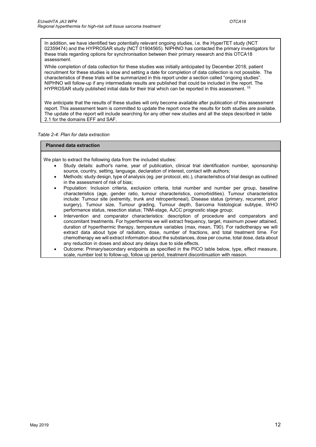In addition, we have identified two potentially relevant ongoing studies, i.e. the HyperTET study (NCT 02359474) and the HYPROSAR study (NCT 01904565). NIPHNO has contacted the primary investigators for these trials regarding options for synchronisation between their primary research and this OTCA18 assessment.

While completion of data collection for these studies was initially anticipated by December 2018, patient recruitment for these studies is slow and setting a date for completion of data collection is not possible. The characteristics of these trials will be summarized in this report under a section called "ongoing studies". NIPHNO will follow-up if any intermediate results are published that could be included in the report. The HYPROSAR study published initial data for their trial which can be reported in this assessment. <sup>15</sup>

We anticipate that the results of these studies will only become available after publication of this assessment report. This assessment team is committed to update the report once the results for both studies are availabe. The update of the report will include searching for any other new studies and all the steps described in table 2.1 for the domains EFF and SAF.

Table 2-4: Plan for data extraction

#### Planned data extraction

We plan to extract the following data from the included studies:

- Study details: author's name, year of publication, clinical trial identification number, sponsorship source, country, setting, language, declaration of interest, contact with authors;
- Methods: study design, type of analysis (eg. per protocol, etc.), characteristics of trial design as outlined in the assessment of risk of bias;
- Population: Inclusion criteria, exclusion criteria, total number and number per group, baseline characteristics (age, gender ratio, tumour characteristics, comorbidities). Tumour characteristics include: Tumour site (extremity, trunk and retroperitoneal), Disease status (primary, recurrent, prior surgery), Tumour size, Tumour grading, Tumour depth, Sarcoma histological subtype, WHO performance status, resection status; TNM-stage, AJCC prognostic stage group;
- Intervention and comparator characteristics: description of procedure and comparators and concomitant treatments. For hyperthermia we will extract frequency, target, maximum power attained, duration of hyperthermic therapy, temperature variables (max, mean, T90). For radiotherapy we will extract data about type of radiation, dose, number of fractions, and total treatment time. For chemotherapy we will extract information about the substances, dose per course, total dose, data about any reduction in doses and about any delays due to side effects.
- Outcome: Primary/secondary endpoints as specified in the PICO table below, type, effect measure, scale, number lost to follow-up, follow up period, treatment discontinuation with reason.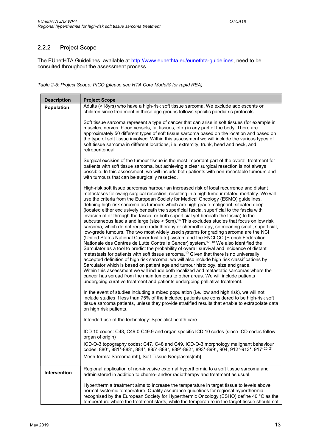### 2.2.2 Project Scope

The EUnetHTA Guidelines, available at http://www.eunethta.eu/eunethta-guidelines, need to be consulted throughout the assessment process.

Table 2-5: Project Scope: PICO (please see HTA Core Model® for rapid REA)

| <b>Description</b> | <b>Project Scope</b>                                                                                                                                                                                                                                                                                                                                                                                                                                                                                                                                                                                                                                                                                                                                                                                                                                                                                                                                                                                                                                                                                                                                                                                                                                                                                                                                                                                                                                                                                                                                                                                                                                                                                            |
|--------------------|-----------------------------------------------------------------------------------------------------------------------------------------------------------------------------------------------------------------------------------------------------------------------------------------------------------------------------------------------------------------------------------------------------------------------------------------------------------------------------------------------------------------------------------------------------------------------------------------------------------------------------------------------------------------------------------------------------------------------------------------------------------------------------------------------------------------------------------------------------------------------------------------------------------------------------------------------------------------------------------------------------------------------------------------------------------------------------------------------------------------------------------------------------------------------------------------------------------------------------------------------------------------------------------------------------------------------------------------------------------------------------------------------------------------------------------------------------------------------------------------------------------------------------------------------------------------------------------------------------------------------------------------------------------------------------------------------------------------|
| <b>Population</b>  | Adults (>18yrs) who have a high-risk soft tissue sarcoma. We exclude adolescents or                                                                                                                                                                                                                                                                                                                                                                                                                                                                                                                                                                                                                                                                                                                                                                                                                                                                                                                                                                                                                                                                                                                                                                                                                                                                                                                                                                                                                                                                                                                                                                                                                             |
|                    | children since treatment in these age groups follows specific paediatric protocols.                                                                                                                                                                                                                                                                                                                                                                                                                                                                                                                                                                                                                                                                                                                                                                                                                                                                                                                                                                                                                                                                                                                                                                                                                                                                                                                                                                                                                                                                                                                                                                                                                             |
|                    | Soft tissue sarcoma represent a type of cancer that can arise in soft tissues (for example in<br>muscles, nerves, blood vessels, fat tissues, etc.) in any part of the body. There are<br>approximately 50 different types of soft tissue sarcoma based on the location and based on<br>the type of soft tissue involved. Within this assessment we will include the various types of<br>soft tissue sarcoma in different locations, i.e. extremity, trunk, head and neck, and<br>retroperitoneal.                                                                                                                                                                                                                                                                                                                                                                                                                                                                                                                                                                                                                                                                                                                                                                                                                                                                                                                                                                                                                                                                                                                                                                                                              |
|                    | Surgical excision of the tumour tissue is the most important part of the overall treatment for<br>patients with soft tissue sarcoma, but achieving a clear surgical resection is not always<br>possible. In this assessment, we will include both patients with non-resectable tumours and<br>with tumours that can be surgically resected.                                                                                                                                                                                                                                                                                                                                                                                                                                                                                                                                                                                                                                                                                                                                                                                                                                                                                                                                                                                                                                                                                                                                                                                                                                                                                                                                                                     |
|                    | High-risk soft tissue sarcomas harbour an increased risk of local recurrence and distant<br>metastases following surgical resection, resulting in a high tumour related mortality. We will<br>use the criteria from the European Society for Medical Oncology (ESMO) guidelines,<br>defining high-risk sarcoma as tumours which are high-grade malignant, situated deep<br>(located either exclusively beneath the superficial fascia, superficial to the fascia with<br>invasion of or through the fascia, or both superficial yet beneath the fascia) to the<br>subcutaneous fascia and large (size $>$ 5cm). <sup>16</sup> This excludes studies that focus on low risk<br>sarcoma, which do not require radiotherapy or chemotherapy, so meaning small, superficial,<br>low-grade tumours. The two most widely used systems for grading sarcoma are the NCI<br>(United States National Cancer Institute) system and the FNCLCC (French Fédération<br>Nationale des Centres de Lutte Contre le Cancer) system. <sup>17, 18</sup> We also identified the<br>Sarculator as a tool to predict the probability of overall survival and incidence of distant<br>metastasis for patients with soft tissue sarcoma. <sup>19</sup> Given that there is no universally<br>accepted definition of high risk sarcoma, we will also include high risk classifications by<br>Sarculator which is based on patient age and tumour histology, size and grade.<br>Within this assessment we will include both localized and metastatic sarcomas where the<br>cancer has spread from the main tumours to other areas. We will include patients<br>undergoing curative treatment and patients undergoing palliative treatment. |
|                    | In the event of studies including a mixed population (i.e. low and high risk), we will not<br>include studies if less than 75% of the included patients are considered to be high-risk soft<br>tissue sarcoma patients, unless they provide stratified results that enable to extrapolate data<br>on high risk patients.                                                                                                                                                                                                                                                                                                                                                                                                                                                                                                                                                                                                                                                                                                                                                                                                                                                                                                                                                                                                                                                                                                                                                                                                                                                                                                                                                                                        |
|                    | Intended use of the technology: Specialist health care                                                                                                                                                                                                                                                                                                                                                                                                                                                                                                                                                                                                                                                                                                                                                                                                                                                                                                                                                                                                                                                                                                                                                                                                                                                                                                                                                                                                                                                                                                                                                                                                                                                          |
|                    | ICD 10 codes: C48, C49.0-C49.9 and organ specific ICD 10 codes (since ICD codes follow<br>organ of origin)                                                                                                                                                                                                                                                                                                                                                                                                                                                                                                                                                                                                                                                                                                                                                                                                                                                                                                                                                                                                                                                                                                                                                                                                                                                                                                                                                                                                                                                                                                                                                                                                      |
|                    | ICD-O-3 topography codes: C47, C48 and C49, ICD-O-3 morphology malignant behaviour<br>codes: 880*, 881*-883*, 884*, 885*-888*, 889*-892*, 893*-899*, 904, 912*-913*, 917*20, 21                                                                                                                                                                                                                                                                                                                                                                                                                                                                                                                                                                                                                                                                                                                                                                                                                                                                                                                                                                                                                                                                                                                                                                                                                                                                                                                                                                                                                                                                                                                                 |
|                    | Mesh-terms: Sarcoma[mh], Soft Tissue Neoplasms[mh]                                                                                                                                                                                                                                                                                                                                                                                                                                                                                                                                                                                                                                                                                                                                                                                                                                                                                                                                                                                                                                                                                                                                                                                                                                                                                                                                                                                                                                                                                                                                                                                                                                                              |
| Intervention       | Regional application of non-invasive external hyperthermia to a soft tissue sarcoma and<br>administered in addition to chemo- and/or radiotherapy and treatment as usual.                                                                                                                                                                                                                                                                                                                                                                                                                                                                                                                                                                                                                                                                                                                                                                                                                                                                                                                                                                                                                                                                                                                                                                                                                                                                                                                                                                                                                                                                                                                                       |
|                    | Hyperthermia treatment aims to increase the temperature in target tissue to levels above<br>normal systemic temperature. Quality assurance guidelines for regional hyperthermia<br>recognised by the European Society for Hyperthermic Oncology (ESHO) define 40 °C as the<br>temperature where the treatment starts, while the temperature in the target tissue should not                                                                                                                                                                                                                                                                                                                                                                                                                                                                                                                                                                                                                                                                                                                                                                                                                                                                                                                                                                                                                                                                                                                                                                                                                                                                                                                                     |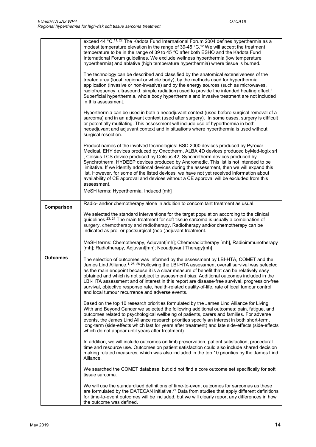|                 | exceed 44 °C. <sup>11, 22</sup> The Kadota Fund International Forum 2004 defines hyperthermia as a<br>modest temperature elevation in the range of 39-45 °C. <sup>12</sup> We will accept the treatment<br>temperature to be in the range of 39 to 45 °C after both ESHO and the Kadota Fund<br>International Forum guidelines. We exclude wellness hyperthermia (low temperature<br>hyperthermia) and ablative (high temperature hyperthermia) where tissue is burned.<br>The technology can be described and classified by the anatomical extensiveness of the<br>treated area (local, regional or whole body), by the methods used for hyperthermia<br>application (invasive or non-invasive) and by the energy sources (such as microwaves, |
|-----------------|-------------------------------------------------------------------------------------------------------------------------------------------------------------------------------------------------------------------------------------------------------------------------------------------------------------------------------------------------------------------------------------------------------------------------------------------------------------------------------------------------------------------------------------------------------------------------------------------------------------------------------------------------------------------------------------------------------------------------------------------------|
|                 | radiofrequency, ultrasound, simple radiation) used to provide the intended heating effect. <sup>1</sup><br>Superficial hyperthermia, whole body hyperthermia and invasive treatment are not included<br>in this assessment.                                                                                                                                                                                                                                                                                                                                                                                                                                                                                                                     |
|                 | Hyperthermia can be used in both a neoadjuvant context (used before surgical removal of a<br>sarcoma) and in an adjuvant context (used after surgery). In some cases, surgery is difficult<br>or potentially mutilating. This assessment will include use of hyperthermia in both<br>neoadjuvant and adjuvant context and in situations where hyperthermia is used without<br>surgical resection.                                                                                                                                                                                                                                                                                                                                               |
|                 | Product names of the involved technologies: BSD 2000 devices produced by Pyrexar<br>Medical, EHY devices produced by Oncotherm, ALBA 4D devices produced byMed-logix srl<br>, Celsius TCS device produced by Celsius 42, Synchrotherm devices produced by<br>Synchrotherm, HYDEEP devices produced by Andromedic. This list is not intended to be<br>limitative. If we identify additional devices during the assessment, then we will expand this<br>list. However, for some of the listed devices, we have not yet received information about<br>availability of CE approval and devices without a CE approval will be excluded from this<br>assessment.                                                                                      |
|                 | MeSH terms: Hyperthermia, Induced [mh]                                                                                                                                                                                                                                                                                                                                                                                                                                                                                                                                                                                                                                                                                                          |
| Comparison      | Radio- and/or chemotherapy alone in addition to concomitant treatment as usual.                                                                                                                                                                                                                                                                                                                                                                                                                                                                                                                                                                                                                                                                 |
|                 | We selected the standard interventions for the target population according to the clinical<br>guidelines. <sup>23, 24</sup> The main treatment for soft tissue sarcoma is usually a combination of<br>surgery, chemotherapy and radiotherapy. Radiotherapy and/or chemotherapy can be<br>indicated as pre- or postsurgical (neo-)adjuvant treatment.                                                                                                                                                                                                                                                                                                                                                                                            |
|                 | MeSH terms: Chemotherapy, Adjuvant[mh]; Chemoradiotherapy [mh], Radioimmunotherapy<br>[mh]; Radiotherapy, Adjuvant[mh]; Neoadjuvant Therapy[mh]                                                                                                                                                                                                                                                                                                                                                                                                                                                                                                                                                                                                 |
| <b>Outcomes</b> | The selection of outcomes was informed by the assessment by LBI-HTA, COMET and the<br>James Lind Alliance. <sup>1, 25, 26</sup> Following the LBI-HTA assessment overall survival was selected<br>as the main endpoint because it is a clear measure of benefit that can be relatively easy<br>obtained and which is not subject to assessment bias. Additional outcomes included in the<br>LBI-HTA assessment and of interest in this report are disease-free survival, progression-free<br>survival, objective response rate, health-related quality-of-life, rate of local tumour control<br>and local tumour recurrence and adverse events.                                                                                                 |
|                 | Based on the top 10 research priorities formulated by the James Lind Alliance for Living<br>With and Beyond Cancer we selected the following additional outcomes: pain, fatigue, and<br>outcomes related to psychological wellbeing of patients, carers and families. For adverse<br>events, the James Lind Alliance research priorities specify an interest in both short-term,<br>long-term (side-effects which last for years after treatment) and late side-effects (side-effects<br>which do not appear until years after treatment).                                                                                                                                                                                                      |
|                 | In addition, we will include outcomes on limb preservation, patient satisfaction, procedural<br>time and resource use. Outcomes on patient satisfaction could also include shared decision<br>making related measures, which was also included in the top 10 priorities by the James Lind<br>Alliance.                                                                                                                                                                                                                                                                                                                                                                                                                                          |
|                 | We searched the COMET database, but did not find a core outcome set specifically for soft<br>tissue sarcoma.                                                                                                                                                                                                                                                                                                                                                                                                                                                                                                                                                                                                                                    |
|                 | We will use the standardised definitions of time-to-event outcomes for sarcomas as these<br>are formulated by the DATECAN initiative. <sup>27</sup> Data from studies that apply different definitions<br>for time-to-event outcomes will be included, but we will clearly report any differences in how<br>the outcome was defined.                                                                                                                                                                                                                                                                                                                                                                                                            |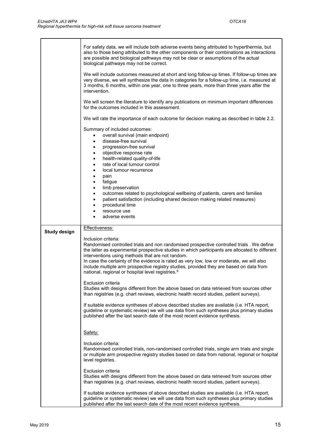|                     | For safety data, we will include both adverse events being attributed to hyperthermia, but<br>also to those being attributed to the other components or their combinations as interactions<br>are possible and biological pathways may not be clear or assumptions of the actual<br>biological pathways may not be correct.<br>We will include outcomes measured at short and long follow-up times. If follow-up times are<br>very diverse, we will synthesize the data in categories for a follow-up time, i.e. measured at<br>3 months, 6 months, within one year, one to three years, more than three years after the<br>intervention.<br>We will screen the literature to identify any publications on minimum important differences<br>for the outcomes included in this assessment. |
|---------------------|-------------------------------------------------------------------------------------------------------------------------------------------------------------------------------------------------------------------------------------------------------------------------------------------------------------------------------------------------------------------------------------------------------------------------------------------------------------------------------------------------------------------------------------------------------------------------------------------------------------------------------------------------------------------------------------------------------------------------------------------------------------------------------------------|
|                     | We will rate the importance of each outcome for decision making as described in table 2.2.                                                                                                                                                                                                                                                                                                                                                                                                                                                                                                                                                                                                                                                                                                |
|                     | Summary of included outcomes:<br>overall survival (main endpoint)<br>٠<br>disease-free survival<br>$\bullet$<br>progression-free survival<br>$\bullet$<br>objective response rate<br>$\bullet$<br>health-related quality-of-life<br>$\bullet$<br>rate of local tumour control<br>$\bullet$<br>local tumour recurrence<br>$\bullet$<br>pain<br>$\bullet$<br>fatigue<br>٠<br>limb preservation<br>٠<br>outcomes related to psychological wellbeing of patients, carers and families<br>٠<br>patient satisfaction (including shared decision making related measures)<br>$\bullet$<br>procedural time<br>٠<br>resource use<br>adverse events<br>$\bullet$                                                                                                                                    |
| <b>Study design</b> | Effectiveness:                                                                                                                                                                                                                                                                                                                                                                                                                                                                                                                                                                                                                                                                                                                                                                            |
|                     | Inclusion criteria:<br>Randomised controlled trials and non randomised prospective controlled trials . We define<br>the latter as experimental prospective studies in which participants are allocated to different<br>interventions using methods that are not random.<br>In case the certainty of the evidence is rated as very low, low or moderate, we will also<br>include multiple arm prospective registry studies, provided they are based on data from<br>national, regional or hospital level registries. <sup>9</sup>                                                                                                                                                                                                                                                          |
|                     | Exclusion criteria<br>Studies with designs different from the above based on data retrieved from sources other<br>than registries (e.g. chart reviews, electronic health record studies, patient surveys).                                                                                                                                                                                                                                                                                                                                                                                                                                                                                                                                                                                |
|                     | If suitable evidence syntheses of above described studies are available (i.e. HTA report,<br>guideline or systematic review) we will use data from such syntheses plus primary studies<br>published after the last search date of the most recent evidence synthesis.                                                                                                                                                                                                                                                                                                                                                                                                                                                                                                                     |
|                     | Safety:                                                                                                                                                                                                                                                                                                                                                                                                                                                                                                                                                                                                                                                                                                                                                                                   |
|                     | Inclusion criteria:<br>Randomised controlled trials, non-randomised controlled trials, single arm trials and single<br>or multiple arm prospective registry studies based on data from national, regional or hospital<br>level registries.                                                                                                                                                                                                                                                                                                                                                                                                                                                                                                                                                |
|                     | Exclusion criteria<br>Studies with designs different from the above based on data retrieved from sources other<br>than registries (e.g. chart reviews, electronic health record studies, patient surveys).                                                                                                                                                                                                                                                                                                                                                                                                                                                                                                                                                                                |
|                     | If suitable evidence syntheses of above described studies are available (i.e. HTA report,<br>guideline or systematic review) we will use data from such syntheses plus primary studies<br>published after the last search date of the most recent evidence synthesis.                                                                                                                                                                                                                                                                                                                                                                                                                                                                                                                     |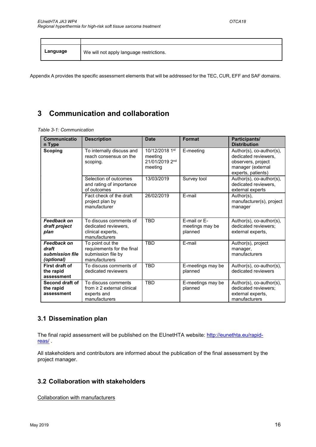| Language | We will not apply language restrictions. |
|----------|------------------------------------------|

Appendix A provides the specific assessment elements that will be addressed for the TEC, CUR, EFF and SAF domains.

# 3 Communication and collaboration

Table 3-1: Communication

| <b>Communicatio</b><br>n Type                                | <b>Description</b>                                                                     | <b>Date</b>                                            | <b>Format</b>                              | Participants/<br><b>Distribution</b>                                                                                 |
|--------------------------------------------------------------|----------------------------------------------------------------------------------------|--------------------------------------------------------|--------------------------------------------|----------------------------------------------------------------------------------------------------------------------|
| <b>Scoping</b>                                               | To internally discuss and<br>reach consensus on the<br>scoping.                        | 10/12/2018 1st<br>meeting<br>21/01/2019 2nd<br>meeting | E-meeting                                  | Author(s), $co$ -author(s),<br>dedicated reviewers,<br>observers, project<br>manager (external<br>experts, patients) |
|                                                              | Selection of outcomes<br>and rating of importance<br>of outcomes                       | 13/03/2019                                             | Survey tool                                | Author(s), co-author(s),<br>dedicated reviewers,<br>external experts                                                 |
|                                                              | Fact check of the draft<br>project plan by<br>manufacturer                             | 26/02/2019                                             | E-mail                                     | Author(s),<br>manufacturer(s), project<br>manager                                                                    |
| <b>Feedback on</b><br>draft project<br>plan                  | To discuss comments of<br>dedicated reviewers.<br>clinical experts,<br>manufacturers   | <b>TBD</b>                                             | E-mail or E-<br>meetings may be<br>planned | Author(s), co-author(s),<br>dedicated reviewers;<br>external experts,                                                |
| <b>Feedback on</b><br>draft<br>submission file<br>(optional) | To point out the<br>requirements for the final<br>submission file by<br>manufacturers  | <b>TRD</b>                                             | E-mail                                     | Author(s), project<br>manager,<br>manufacturers                                                                      |
| First draft of<br>the rapid<br>assessment                    | To discuss comments of<br>dedicated reviewers                                          | TBD                                                    | E-meetings may be<br>planned               | Author(s), co-author(s),<br>dedicated reviewers                                                                      |
| Second draft of<br>the rapid<br>assessment                   | To discuss comments<br>from $\geq 2$ external clinical<br>experts and<br>manufacturers | <b>TBD</b>                                             | E-meetings may be<br>planned               | Author(s), co-author(s),<br>dedicated reviewers;<br>external experts,<br>manufacturers                               |

## 3.1 Dissemination plan

The final rapid assessment will be published on the EUnetHTA website: http://eunethta.eu/rapidreas/ .

All stakeholders and contributors are informed about the publication of the final assessment by the project manager.

## 3.2 Collaboration with stakeholders

Collaboration with manufacturers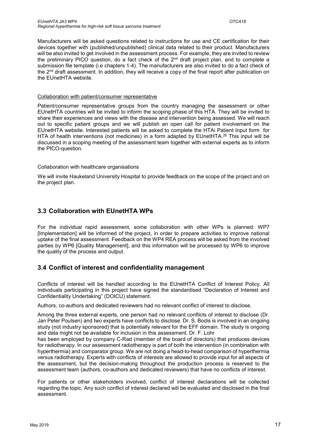Manufacturers will be asked questions related to instructions for use and CE certification for their devices together with (published/unpublished) clinical data related to their product. Manufacturers will be also invited to get involved in the assessment process. For example, they are invited to review the preliminary PICO question, do a fact check of the  $2<sup>nd</sup>$  draft project plan, and to complete a submission file template (i.e chapters 1-4). The manufacturers are also invited to do a fact check of the 2nd draft assessment. In addition, they will receive a copy of the final report after publication on the EUnetHTA website.

#### Collaboration with patient/consumer representative

Patient/consumer representative groups from the country managing the assessment or other EUnetHTA countries will be invited to inform the scoping phase of this HTA. They will be invited to share their experiences and views with the disease and intervention being assessed. We will reach out to specific patient groups and we will publish an open call for patient involvement on the EUnetHTA website. Interested patients will be asked to complete the HTAi Patient Input form for HTA of health interventions (not medicines) in a form adapted by EUnetHTA.<sup>28</sup> This input will be discussed in a scoping meeting of the assessment team together with external experts as to inform the PICO-question.

#### Collaboration with healthcare organisations

We will invite Haukeland University Hospital to provide feedback on the scope of the project and on the project plan.

# 3.3 Collaboration with EUnetHTA WPs

For the individual rapid assessment, some collaboration with other WPs is planned: WP7 [Implementation] will be informed of the project, in order to prepare activities to improve national uptake of the final assessment. Feedback on the WP4 REA process will be asked from the involved parties by WP6 [Quality Management], and this information will be processed by WP6 to improve the quality of the process and output.

## 3.4 Conflict of interest and confidentiality management

Conflicts of interest will be handled according to the EUnetHTA Conflict of Interest Policy. All individuals participating in this project have signed the standardised "Declaration of Interest and Confidentiality Undertaking" (DOICU) statement.

Authors, co-authors and dedicated reviewers had no relevant conflict of interest to disclose.

Among the three external experts, one person had no relevant conflicts of interest to disclose (Dr. Jan Peter Poulsen) and two experts have conflicts to disclose. Dr. S. Bodis is involved in an ongoing study (not industry sponsored) that is potentially relevant for the EFF domain. The study is ongoing and data might not be available for inclusion in this assessment. Dr. F. Lohr

has been employed by company C-Rad (member of the board of directors) that produces devices for radiotherapy. In our assessment radiotherapy is part of both the intervention (in combination with hyperthermia) and comparator group. We are not doing a head-to-head comparison of hyperthermia versus radiotherapy. Experts with conflicts of interests are allowed to provide input for all aspects of the assessment, but the decision-making throughout the production process is reserved to the assessment team (authors, co-authors and dedicated reviewers) that have no conflicts of interest.

For patients or other stakeholders involved, conflict of interest declarations will be collected regarding the topic. Any such conflict of interest declared will be evaluated and disclosed in the final assessment.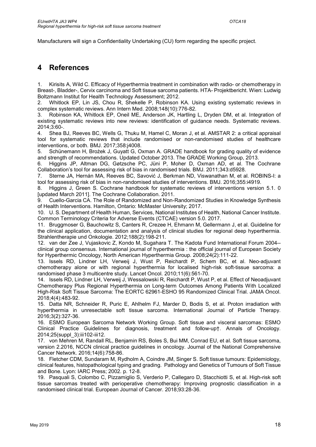Manufacturers will sign a Confidentiality Undertaking (CU) form regarding the specific project.

# 4 References

1. Kirisits A, Wild C. Efficacy of Hyperthermia treatment in combination with radio- or chemotherapy in Breast-, Bladder-, Cervix carcinoma and Soft tissue sarcoma patients. HTA- Projektbericht. Wien: Ludwig Boltzmann Institut for Health Technology Assessment; 2012.

2. Whitlock EP, Lin JS, Chou R, Shekelle P, Robinson KA. Using existing systematic reviews in complex systematic reviews. Ann Intern Med. 2008;148(10):776-82.

3. Robinson KA, Whitlock EP, Oneil ME, Anderson JK, Hartling L, Dryden DM, et al. Integration of existing systematic reviews into new reviews: identification of guidance needs. Systematic reviews. 2014;3:60-.

4. Shea BJ, Reeves BC, Wells G, Thuku M, Hamel C, Moran J, et al. AMSTAR 2: a critical appraisal tool for systematic reviews that include randomised or non-randomised studies of healthcare interventions, or both. BMJ. 2017;358:j4008.

5. Schünemann H, Brożek J, Guyatt G, Oxman A. GRADE handbook for grading quality of evidence and strength of recommendations. Updated October 2013. The GRADE Working Group, 2013.

6. Higgins JP, Altman DG, Gøtzsche PC, Jüni P, Moher D, Oxman AD, et al. The Cochrane Collaboration's tool for assessing risk of bias in randomised trials. BMJ. 2011;343:d5928.

7. Sterne JA, Hernán MA, Reeves BC, Savović J, Berkman ND, Viswanathan M, et al. ROBINS-I: a tool for assessing risk of bias in non-randomised studies of interventions. BMJ. 2016;355:i4919.

8. Higgins J, Green S. Cochrane handbook for systematic reviews of interventions version 5.1. 0 [updated March 2011]. The Cochrane Collaboration. 2011.

9. Cuello-Garcia CA. The Role of Randomized and Non-Randomized Studies in Knowledge Synthesis of Health Interventions. Hamilton, Ontario: McMaster University; 2017.

10. U. S. Department of Health Human, Services, National Institutes of Health, National Cancer Institute. Common Terminology Criteria for Adverse Events (CTCAE) version 5.0. 2017.

11. Bruggmoser G, Bauchowitz S, Canters R, Crezee H, Ehmann M, Gellermann J, et al. Guideline for the clinical application, documentation and analysis of clinical studies for regional deep hyperthermia. Strahlentherapie und Onkologie. 2012;188(2):198-211.

12. van der Zee J, Vujaskovic Z, Kondo M, Sugahara T. The Kadota Fund International Forum 2004- clinical group consensus. International journal of hyperthermia : the official journal of European Society for Hyperthermic Oncology, North American Hyperthermia Group. 2008;24(2):111-22.

13. Issels RD, Lindner LH, Verweij J, Wust P, Reichardt P, Schem BC, et al. Neo-adjuvant chemotherapy alone or with regional hyperthermia for localised high-risk soft-tissue sarcoma: a randomised phase 3 multicentre study. Lancet Oncol. 2010;11(6):561-70.

14. Issels RD, Lindner LH, Verweij J, Wessalowski R, Reichardt P, Wust P, et al. Effect of Neoadjuvant Chemotherapy Plus Regional Hyperthermia on Long-term Outcomes Among Patients With Localized High-Risk Soft Tissue Sarcoma: The EORTC 62961-ESHO 95 Randomized Clinical Trial. JAMA Oncol. 2018;4(4):483-92.

15. Datta NR, Schneider R, Puric E, Ahlhelm FJ, Marder D, Bodis S, et al. Proton irradiation with hyperthermia in unresectable soft tissue sarcoma. International Journal of Particle Therapy. 2016;3(2):327-36.

16. ESMO European Sarcoma Network Working Group. Soft tissue and visceral sarcomas: ESMO Clinical Practice Guidelines for diagnosis, treatment and follow-up†. Annals of Oncology. 2014;25(suppl\_3):iii102-iii12.

17. von Mehren M, Randall RL, Benjamin RS, Boles S, Bui MM, Conrad EU, et al. Soft tissue sarcoma, version 2.2016, NCCN clinical practice guidelines in oncology. Journal of the National Comprehensive Cancer Network. 2016;14(6):758-86.

18. Fletcher CDM, Sundaram M, Rydholm A, Coindre JM, Singer S. Soft tissue tumours: Epidemiology, clinical features, histopathological typing and grading. Pathology and Genetics of Tumours of Soft Tissue and Bone. Lyon: IARC Press; 2002. p. 12-8.

19. Pasquali S, Colombo C, Pizzamiglio S, Verderio P, Callegaro D, Stacchiotti S, et al. High-risk soft tissue sarcomas treated with perioperative chemotherapy: Improving prognostic classification in a randomised clinical trial. European Journal of Cancer. 2018;93:28-36.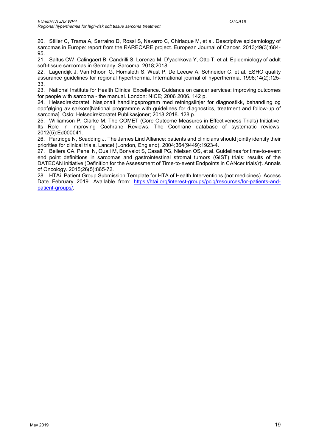20. Stiller C, Trama A, Serraino D, Rossi S, Navarro C, Chirlaque M, et al. Descriptive epidemiology of sarcomas in Europe: report from the RARECARE project. European Journal of Cancer. 2013;49(3):684- 95.

21. Saltus CW, Calingaert B, Candrilli S, Lorenzo M, D'yachkova Y, Otto T, et al. Epidemiology of adult soft-tissue sarcomas in Germany. Sarcoma. 2018;2018.

22. Lagendijk J, Van Rhoon G, Hornsleth S, Wust P, De Leeuw A, Schneider C, et al. ESHO quality assurance guidelines for regional hyperthermia. International journal of hyperthermia. 1998;14(2):125- 33.

23. National Institute for Health Clinical Excellence. Guidance on cancer services: improving outcomes for people with sarcoma - the manual. London: NICE; 2006 2006. 142 p.

24. Helsedirektoratet. Nasjonalt handlingsprogram med retningslinjer for diagnostikk, behandling og oppfølging av sarkom[National programme with guidelines for diagnostics, treatment and follow-up of sarcoma]. Oslo: Helsedirektoratet Publikasjoner; 2018 2018. 128 p.

25. Williamson P, Clarke M. The COMET (Core Outcome Measures in Effectiveness Trials) Initiative: Its Role in Improving Cochrane Reviews. The Cochrane database of systematic reviews. 2012(5):Ed000041.

26. Partridge N, Scadding J. The James Lind Alliance: patients and clinicians should jointly identify their priorities for clinical trials. Lancet (London, England). 2004;364(9449):1923-4.

27. Bellera CA, Penel N, Ouali M, Bonvalot S, Casali PG, Nielsen OS, et al. Guidelines for time-to-event end point definitions in sarcomas and gastrointestinal stromal tumors (GIST) trials: results of the DATECAN initiative (Definition for the Assessment of Time-to-event Endpoints in CANcer trials)†. Annals of Oncology. 2015;26(5):865-72.

28. HTAi. Patient Group Submission Template for HTA of Health Interventions (not medicines). Access Date February 2019. Available from: https://htai.org/interest-groups/pcig/resources/for-patients-andpatient-groups/.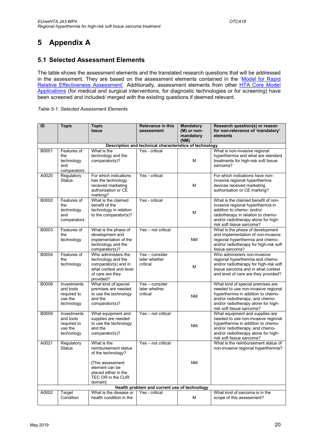# 5 Appendix A

## 5.1 Selected Assessment Elements

The table shows the assessment elements and the translated research questions that will be addressed in the assessment. They are based on the assessment elements contained in the 'Model for Rapid Relative Effectiveness Assessment'. Additionally, assessment elements from other HTA Core Model Applications (for medical and surgical interventions, for diagnostic technologies or for screening) have been screened and included/ merged with the existing questions if deemed relevant.

| Table 5-1: Selected Assessment Elements |  |
|-----------------------------------------|--|
|                                         |  |

| ID           | <b>Topic</b>             | <b>Topic</b>                                    | <b>Relevance in this</b>                                | <b>Mandatory</b>         | Research question(s) or reason                                             |
|--------------|--------------------------|-------------------------------------------------|---------------------------------------------------------|--------------------------|----------------------------------------------------------------------------|
|              |                          | <b>Issue</b>                                    | assessment                                              | (M) or non-<br>mandatory | for non-relevance of 'mandatory'<br>elements                               |
|              |                          |                                                 |                                                         | (NM)                     |                                                                            |
|              |                          |                                                 | Description and technical characteristics of technology |                          |                                                                            |
| B0001        | Features of              | What is the                                     | Yes - critical                                          |                          | What is non-invasive regional                                              |
|              | the                      | technology and the                              |                                                         |                          | hyperthermia and what are standard                                         |
|              | technology               | comparator(s)?                                  |                                                         | M                        | treatments for high-risk soft tissue<br>sarcoma?                           |
|              | and<br>comparators       |                                                 |                                                         |                          |                                                                            |
| A0020        | Regulatory               | For which indications                           | Yes - critical                                          |                          | For which indications have non-                                            |
|              | Status                   | has the technology                              |                                                         |                          | invasive regional hyperthermia                                             |
|              |                          | received marketing<br>authorisation or CE       |                                                         | M                        | devices received marketing<br>authorisation or CE marking?                 |
|              |                          | marking?                                        |                                                         |                          |                                                                            |
| B0002        | Features of              | What is the claimed                             | Yes - critical                                          |                          | What is the claimed benefit of non-                                        |
|              | the                      | benefit of the                                  |                                                         |                          | invasive regional hyperthermia in                                          |
|              | technology<br>and        | technology in relation<br>to the comparator(s)? |                                                         | М                        | addition to chemo- and/or<br>radiotherapy in relation to chemo-            |
|              | comparators              |                                                 |                                                         |                          | and/or radiotherapy alone for high-                                        |
|              |                          |                                                 |                                                         |                          | risk soft tissue sarcoma?                                                  |
| <b>B0003</b> | Features of<br>the       | What is the phase of<br>development and         | Yes - not critical                                      |                          | What is the phase of development                                           |
|              | technology               | implementation of the                           |                                                         | <b>NM</b>                | and implementation of non-invasive<br>regional hyperthermia and chemo-     |
|              |                          | technology and the                              |                                                         |                          | and/or radiotherapy for high-risk soft                                     |
|              |                          | comparator(s)?                                  |                                                         |                          | tissue sarcoma?                                                            |
| B0004        | Features of              | Who administers the                             | Yes - consider                                          |                          | Who administers non-invasive                                               |
|              | the<br>technology        | technology and the<br>comparator(s) and in      | later whether<br>critical                               |                          | regional hyperthermia and chemo-<br>and/or radiotherapy for high-risk soft |
|              |                          | what context and level                          |                                                         | М                        | tissue sarcoma and in what context                                         |
|              |                          | of care are they                                |                                                         |                          | and level of care are they provided?                                       |
|              |                          | provided?                                       |                                                         |                          |                                                                            |
| B0008        | Investments<br>and tools | What kind of special<br>premises are needed     | Yes - consider<br>later whether                         |                          | What kind of special premises are<br>needed to use non-invasive regional   |
|              | required to              | to use the technology                           | critical                                                |                          | hyperthermia in addition to chemo-                                         |
|              | use the                  | and the                                         |                                                         | <b>NM</b>                | and/or radiotherapy, and chemo-                                            |
|              | technology               | comparator(s)?                                  |                                                         |                          | and/or radiotherapy alone for high-                                        |
|              |                          |                                                 | Yes - not critical                                      |                          | risk soft tissue sarcoma?                                                  |
| B0009        | Investments<br>and tools | What equipment and<br>supplies are needed       |                                                         |                          | What equipment and supplies are<br>needed to use non-invasive regional     |
|              | required to              | to use the technology                           |                                                         | <b>NM</b>                | hyperthermia in addition to chemo-                                         |
|              | use the                  | and the                                         |                                                         |                          | and/or radiotherapy, and chemo-                                            |
|              | technology               | comparator(s)?                                  |                                                         |                          | and/or radiotherapy alone for high-                                        |
| A0021        | Regulatory               | What is the                                     | Yes - not critical                                      |                          | risk soft tissue sarcoma?<br>What is the reimbursement status of           |
|              | <b>Status</b>            | reimbursement status                            |                                                         |                          | non-invasive regional hyperthermia?                                        |
|              |                          | of the technology?                              |                                                         |                          |                                                                            |
|              |                          | [This assessment                                |                                                         | NM                       |                                                                            |
|              |                          | element can be                                  |                                                         |                          |                                                                            |
|              |                          | placed either in the                            |                                                         |                          |                                                                            |
|              |                          | TEC OR in the CUR<br>domainl                    |                                                         |                          |                                                                            |
|              |                          |                                                 | Health problem and current use of technology            |                          |                                                                            |
| A0002        | Target                   | What is the disease or                          | Yes - critical                                          |                          | What kind of sarcoma is in the                                             |
|              | Condition                | health condition in the                         |                                                         | М                        | scope of this assessment?                                                  |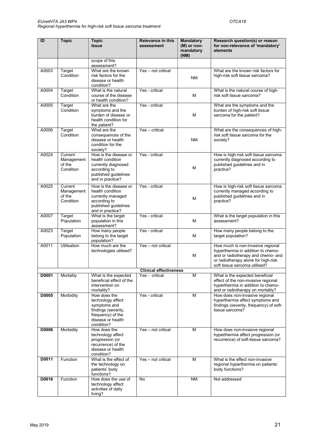| ID    | <b>Topic</b>                                 | <b>Topic</b>                                                                                                                     | <b>Relevance in this</b>      | <b>Mandatory</b>                 | Research question(s) or reason                                                                                                                                                        |
|-------|----------------------------------------------|----------------------------------------------------------------------------------------------------------------------------------|-------------------------------|----------------------------------|---------------------------------------------------------------------------------------------------------------------------------------------------------------------------------------|
|       |                                              | <b>Issue</b>                                                                                                                     | assessment                    | (M) or non-<br>mandatory<br>(NM) | for non-relevance of 'mandatory'<br>elements                                                                                                                                          |
|       |                                              | scope of this<br>assessment?                                                                                                     |                               |                                  |                                                                                                                                                                                       |
| A0003 | Target<br>Condition                          | What are the known<br>risk factors for the<br>disease or health<br>condition?                                                    | Yes - not critical            | <b>NM</b>                        | What are the known risk factors for<br>high-risk soft tissue sarcoma?                                                                                                                 |
| A0004 | Target<br>Condition                          | What is the natural<br>course of the disease<br>or health condition?                                                             | Yes - critical                | М                                | What is the natural course of high-<br>risk soft tissue sarcoma?                                                                                                                      |
| A0005 | Target<br>Condition                          | What are the<br>symptoms and the<br>burden of disease or<br>health condition for<br>the patient?                                 | Yes - critical                | M                                | What are the symptoms and the<br>burden of high-risk soft tissue<br>sarcoma for the patient?                                                                                          |
| A0006 | Target<br>Condition                          | What are the<br>consequences of the<br>disease or health<br>condition for the<br>society?                                        | Yes - critical                | <b>NM</b>                        | What are the consequences of high-<br>risk soft tissue sarcoma for the<br>society?                                                                                                    |
| A0024 | Current<br>Management<br>of the<br>Condition | How is the disease or<br>health condition<br>currently diagnosed<br>according to<br>published guidelines<br>and in practice?     | Yes - critical                | М                                | How is high-risk soft tissue sarcoma<br>currently diagnosed according to<br>published guidelines and in<br>practice?                                                                  |
| A0025 | Current<br>Management<br>of the<br>Condition | How is the disease or<br>health condition<br>currently managed<br>according to<br>published guidelines<br>and in practice?       | Yes - critical                | M                                | How is high-risk soft tissue sarcoma<br>currently managed according to<br>published guidelines and in<br>practice?                                                                    |
| A0007 | Target<br>Population                         | What is the target<br>population in this<br>assessment?                                                                          | Yes - critical                | M                                | What is the target population in this<br>assessment?                                                                                                                                  |
| A0023 | Target<br>Population                         | How many people<br>belong to the target<br>population?                                                                           | Yes - critical                | М                                | How many people belong to the<br>target population?                                                                                                                                   |
| A0011 | <b>Utilisation</b>                           | How much are the<br>technologies utilised?                                                                                       | Yes - not critical            | M                                | How much is non-invasive regional<br>hyperthermia in addition to chemo-<br>and or radiotherapy and chemo- and<br>or radiotherapy alone for high-risk<br>soft tissue sarcoma utilised? |
|       |                                              |                                                                                                                                  | <b>Clinical effectiveness</b> |                                  |                                                                                                                                                                                       |
| D0001 | Mortality                                    | What is the expected<br>beneficial effect of the<br>intervention on<br>mortality?                                                | Yes - critical                | М                                | What is the expected beneficial<br>effect of the non-invasive regional<br>hyperthermia in addition to chemo-<br>and or radiotherapy on mortality?                                     |
| D0005 | Morbidity                                    | How does the<br>technology affect<br>symptoms and<br>findings (severity,<br>frequency) of the<br>disease or health<br>condition? | Yes - critical                | M                                | How does non-invasive regional<br>hyperthermia affect symptoms and<br>findings (severity, frequency) of soft-<br>tissue sarcoma?                                                      |
| D0006 | Morbidity                                    | How does the<br>technology affect<br>progression (or<br>recurrence) of the<br>disease or health<br>condition?                    | Yes - not critical            | M                                | How does non-invasive regional<br>hyperthermia affect progression (or<br>recurrence) of soft-tissue sarcoma?                                                                          |
| D0011 | <b>Function</b>                              | What is the effect of<br>the technology on<br>patients' body<br>functions?                                                       | Yes - not critical            | M                                | What is the effect non-invasive<br>regional hyperthermia on patients'<br>body functions?                                                                                              |
| D0016 | Function                                     | How does the use of<br>technology affect<br>activities of daily<br>living?                                                       | No                            | <b>NM</b>                        | Not addressed                                                                                                                                                                         |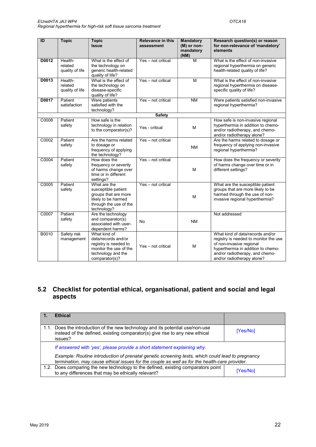| ID    | <b>Topic</b>                          | <b>Topic</b><br><b>Issue</b>                                                                                                   | <b>Relevance in this</b><br>assessment | <b>Mandatory</b><br>(M) or non-<br>mandatory<br>(NM) | Research question(s) or reason<br>for non-relevance of 'mandatory'<br>elements                                                                                                                               |
|-------|---------------------------------------|--------------------------------------------------------------------------------------------------------------------------------|----------------------------------------|------------------------------------------------------|--------------------------------------------------------------------------------------------------------------------------------------------------------------------------------------------------------------|
| D0012 | Health-<br>related<br>quality of life | What is the effect of<br>the technology on<br>generic health-related<br>quality of life?                                       | Yes - not critical                     | $\overline{M}$                                       | What is the effect of non-invasive<br>regional hyperthermia on generic<br>health-related quality of life?                                                                                                    |
| D0013 | Health-<br>related<br>quality of life | What is the effect of<br>the technology on<br>disease-specific<br>quality of life?                                             | Yes - not critical                     | M                                                    | What is the effect of non-invasive<br>regional hyperthermia on disease-<br>specific quality of life?                                                                                                         |
| D0017 | Patient<br>satisfaction               | Were patients<br>satisfied with the<br>technology?                                                                             | Yes - not critical                     | <b>NM</b>                                            | Were patients satisfied non-invasive<br>regional hyperthermia?                                                                                                                                               |
|       |                                       |                                                                                                                                | <b>Safety</b>                          |                                                      |                                                                                                                                                                                                              |
| C0008 | Patient<br>safety                     | How safe is the<br>technology in relation<br>to the comparator(s)?                                                             | Yes - critical                         | M                                                    | How safe is non-invasive regional<br>hyperthermia in addition to chemo-<br>and/or radiotherapy, and chemo-<br>and/or radiotherapy alone?                                                                     |
| C0002 | Patient<br>safety                     | Are the harms related<br>to dosage or<br>frequency of applying<br>the technology?                                              | Yes - not critical                     | <b>NM</b>                                            | Are the harms related to dosage or<br>frequency of applying non-invasive<br>regional hyperthermia?                                                                                                           |
| C0004 | Patient<br>safety                     | How does the<br>frequency or severity<br>of harms change over<br>time or in different<br>settings?                             | Yes - not critical                     | M                                                    | How does the frequency or severity<br>of harms change over time or in<br>different settings?                                                                                                                 |
| C0005 | Patient<br>safety                     | What are the<br>susceptible patient<br>groups that are more<br>likely to be harmed<br>through the use of the<br>technology?    | Yes - not critical                     | M                                                    | What are the susceptible patient<br>groups that are more likely to be<br>harmed through the use of non-<br>invasive regional hyperthermia?                                                                   |
| C0007 | Patient<br>safety                     | Are the technology<br>and comparator(s)<br>associated with user-<br>dependent harms?                                           | <b>No</b>                              | <b>NM</b>                                            | Not addressed                                                                                                                                                                                                |
| B0010 | Safety risk<br>management             | What kind of<br>data/records and/or<br>registry is needed to<br>monitor the use of the<br>technology and the<br>comparator(s)? | Yes - not critical                     | M                                                    | What kind of data/records and/or<br>registry is needed to monitor the use<br>of non-invasive regional<br>hyperthermia in addition to chemo-<br>and/or radiotherapy, and chemo-<br>and/or radiotherapy alone? |

## 5.2 Checklist for potential ethical, organisational, patient and social and legal aspects

|      | <b>Ethical</b>                                                                                                                                                                                    |          |  |
|------|---------------------------------------------------------------------------------------------------------------------------------------------------------------------------------------------------|----------|--|
| 1.1. | Does the introduction of the new technology and its potential use/non-use<br>instead of the defined, existing comparator(s) give rise to any new ethical<br>issues?                               | [Yes/No] |  |
|      | If answered with 'yes', please provide a short statement explaining why.                                                                                                                          |          |  |
|      | Example: Routine introduction of prenatal genetic screening tests, which could lead to pregnancy<br>termination, may cause ethical issues for the couple as well as for the health-care provider. |          |  |
|      | 1.2. Does comparing the new technology to the defined, existing comparators point<br>to any differences that may be ethically relevant?                                                           | [Yes/No] |  |